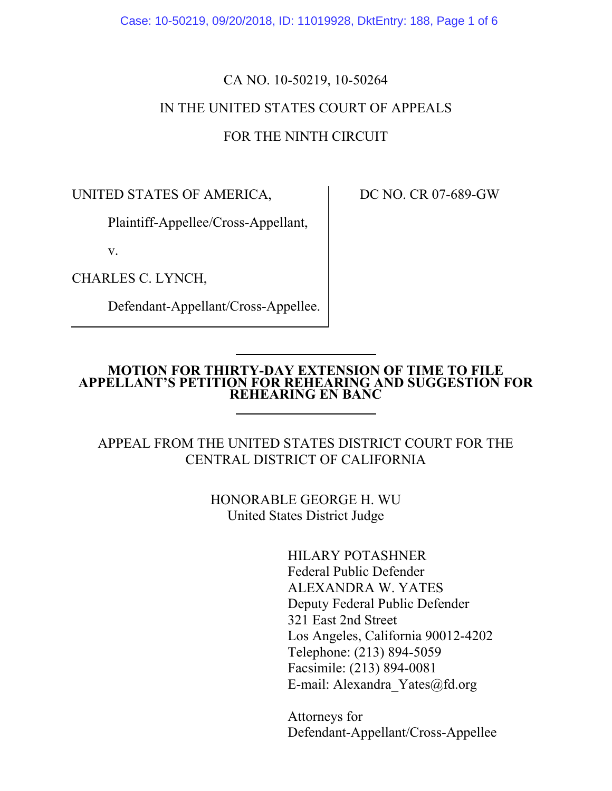Case: 10-50219, 09/20/2018, ID: 11019928, DktEntry: 188, Page 1 of 6

## CA NO. 10-50219, 10-50264 IN THE UNITED STATES COURT OF APPEALS FOR THE NINTH CIRCUIT

UNITED STATES OF AMERICA,

Plaintiff-Appellee/Cross-Appellant,

v.

CHARLES C. LYNCH,

Defendant-Appellant/Cross-Appellee.

DC NO. CR 07-689-GW

#### **MOTION FOR THIRTY-DAY EXTENSION OF TIME TO FILE APPELLANT'S PETITION FOR REHEARING AND SUGGESTION FOR REHEARING EN BANC**

### APPEAL FROM THE UNITED STATES DISTRICT COURT FOR THE CENTRAL DISTRICT OF CALIFORNIA

HONORABLE GEORGE H. WU United States District Judge

> HILARY POTASHNER Federal Public Defender ALEXANDRA W. YATES Deputy Federal Public Defender 321 East 2nd Street Los Angeles, California 90012-4202 Telephone: (213) 894-5059 Facsimile: (213) 894-0081 E-mail: Alexandra\_Yates@fd.org

Attorneys for Defendant-Appellant/Cross-Appellee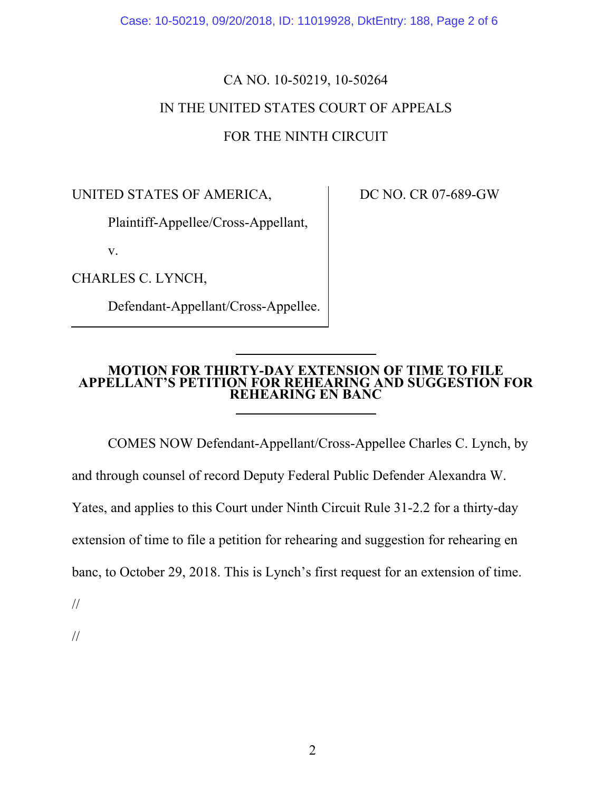Case: 10-50219, 09/20/2018, ID: 11019928, DktEntry: 188, Page 2 of 6

# CA NO. 10-50219, 10-50264 IN THE UNITED STATES COURT OF APPEALS FOR THE NINTH CIRCUIT

UNITED STATES OF AMERICA,

Plaintiff-Appellee/Cross-Appellant,

v.

CHARLES C. LYNCH,

Defendant-Appellant/Cross-Appellee.

DC NO. CR 07-689-GW

### **MOTION FOR THIRTY-DAY EXTENSION OF TIME TO FILE APPELLANT'S PETITION FOR REHEARING AND SUGGESTION FOR REHEARING EN BANC**

COMES NOW Defendant-Appellant/Cross-Appellee Charles C. Lynch, by

and through counsel of record Deputy Federal Public Defender Alexandra W.

Yates, and applies to this Court under Ninth Circuit Rule 31-2.2 for a thirty-day

extension of time to file a petition for rehearing and suggestion for rehearing en

banc, to October 29, 2018. This is Lynch's first request for an extension of time.

//

//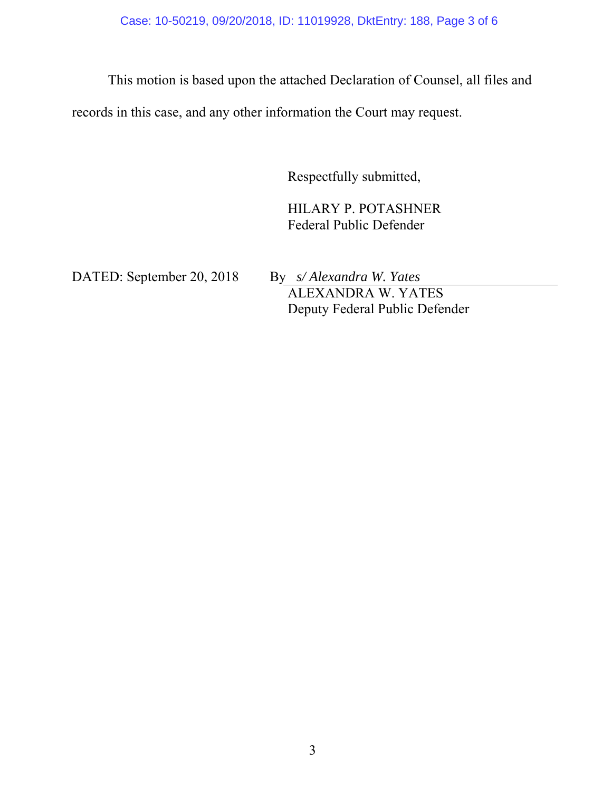This motion is based upon the attached Declaration of Counsel, all files and

records in this case, and any other information the Court may request.

Respectfully submitted,

HILARY P. POTASHNER Federal Public Defender

DATED: September 20, 2018 By *s/ Alexandra W. Yates*

 ALEXANDRA W. YATES Deputy Federal Public Defender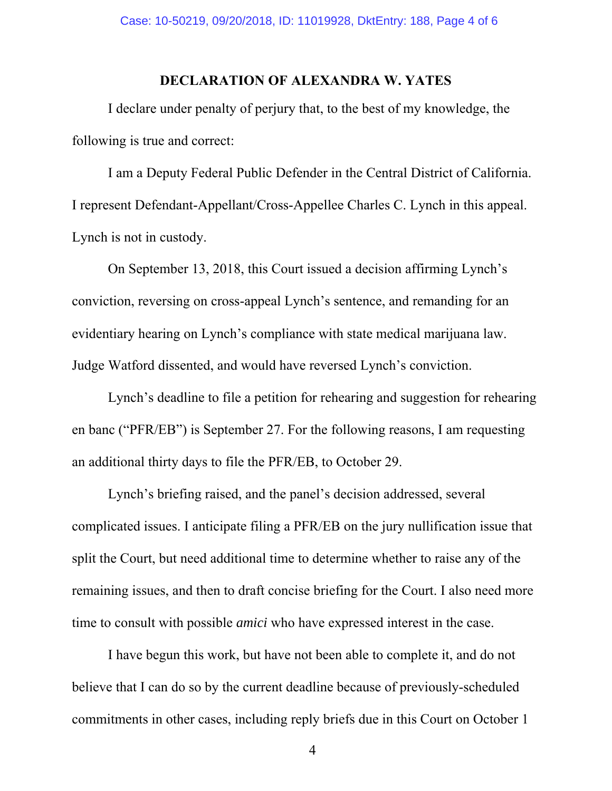### **DECLARATION OF ALEXANDRA W. YATES**

I declare under penalty of perjury that, to the best of my knowledge, the following is true and correct:

I am a Deputy Federal Public Defender in the Central District of California. I represent Defendant-Appellant/Cross-Appellee Charles C. Lynch in this appeal. Lynch is not in custody.

On September 13, 2018, this Court issued a decision affirming Lynch's conviction, reversing on cross-appeal Lynch's sentence, and remanding for an evidentiary hearing on Lynch's compliance with state medical marijuana law. Judge Watford dissented, and would have reversed Lynch's conviction.

Lynch's deadline to file a petition for rehearing and suggestion for rehearing en banc ("PFR/EB") is September 27. For the following reasons, I am requesting an additional thirty days to file the PFR/EB, to October 29.

Lynch's briefing raised, and the panel's decision addressed, several complicated issues. I anticipate filing a PFR/EB on the jury nullification issue that split the Court, but need additional time to determine whether to raise any of the remaining issues, and then to draft concise briefing for the Court. I also need more time to consult with possible *amici* who have expressed interest in the case.

I have begun this work, but have not been able to complete it, and do not believe that I can do so by the current deadline because of previously-scheduled commitments in other cases, including reply briefs due in this Court on October 1

4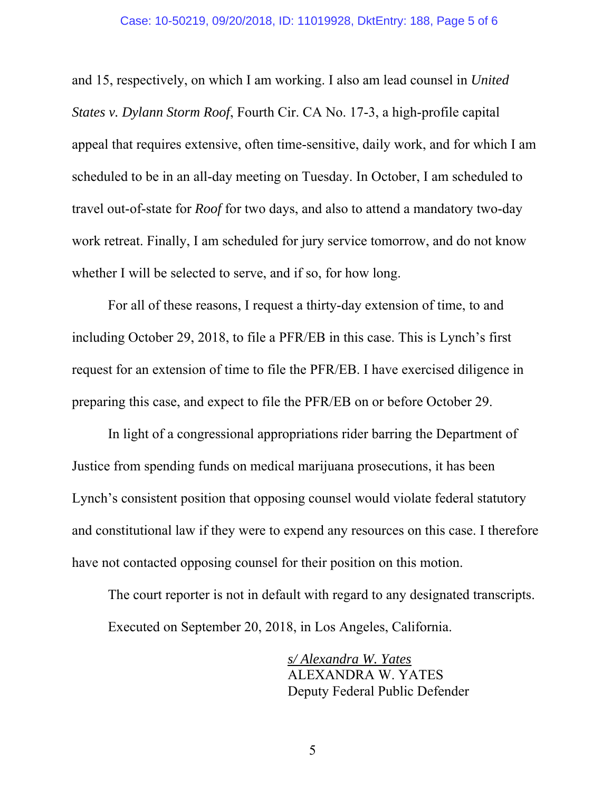#### Case: 10-50219, 09/20/2018, ID: 11019928, DktEntry: 188, Page 5 of 6

and 15, respectively, on which I am working. I also am lead counsel in *United States v. Dylann Storm Roof*, Fourth Cir. CA No. 17-3, a high-profile capital appeal that requires extensive, often time-sensitive, daily work, and for which I am scheduled to be in an all-day meeting on Tuesday. In October, I am scheduled to travel out-of-state for *Roof* for two days, and also to attend a mandatory two-day work retreat. Finally, I am scheduled for jury service tomorrow, and do not know whether I will be selected to serve, and if so, for how long.

For all of these reasons, I request a thirty-day extension of time, to and including October 29, 2018, to file a PFR/EB in this case. This is Lynch's first request for an extension of time to file the PFR/EB. I have exercised diligence in preparing this case, and expect to file the PFR/EB on or before October 29.

In light of a congressional appropriations rider barring the Department of Justice from spending funds on medical marijuana prosecutions, it has been Lynch's consistent position that opposing counsel would violate federal statutory and constitutional law if they were to expend any resources on this case. I therefore have not contacted opposing counsel for their position on this motion.

The court reporter is not in default with regard to any designated transcripts. Executed on September 20, 2018, in Los Angeles, California.

> *s/ Alexandra W. Yates*  ALEXANDRA W. YATES Deputy Federal Public Defender